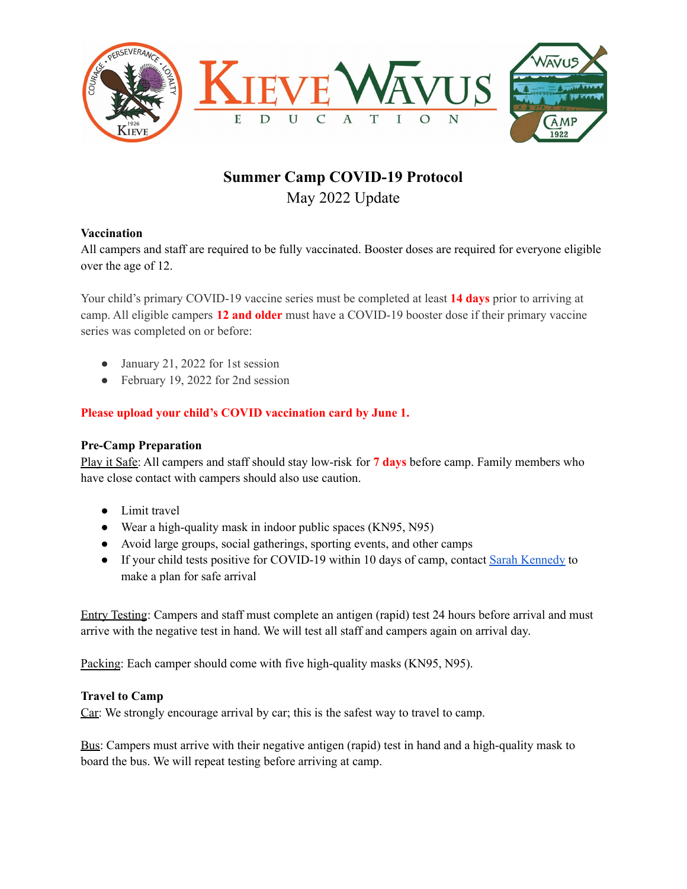

# **Summer Camp COVID-19 Protocol** May 2022 Update

## **Vaccination**

All campers and staff are required to be fully vaccinated. Booster doses are required for everyone eligible over the age of 12.

Your child's primary COVID-19 vaccine series must be completed at least **14 days** prior to arriving at camp. All eligible campers **12 and older** must have a COVID-19 booster dose if their primary vaccine series was completed on or before:

- January 21, 2022 for 1st session
- February 19, 2022 for 2nd session

## **Please upload your child's COVID vaccination card by June 1.**

#### **Pre-Camp Preparation**

Play it Safe: All campers and staff should stay low-risk for **7 days** before camp. Family members who have close contact with campers should also use caution.

- Limit travel
- Wear a high-quality mask in indoor public spaces (KN95, N95)
- Avoid large groups, social gatherings, sporting events, and other camps
- If your child tests positive for COVID-19 within 10 days of camp, contact Sarah [Kennedy](mailto:sarah@kwe.org) to make a plan for safe arrival

Entry Testing: Campers and staff must complete an antigen (rapid) test 24 hours before arrival and must arrive with the negative test in hand. We will test all staff and campers again on arrival day.

Packing: Each camper should come with five high-quality masks (KN95, N95).

## **Travel to Camp**

Car: We strongly encourage arrival by car; this is the safest way to travel to camp.

Bus: Campers must arrive with their negative antigen (rapid) test in hand and a high-quality mask to board the bus. We will repeat testing before arriving at camp.